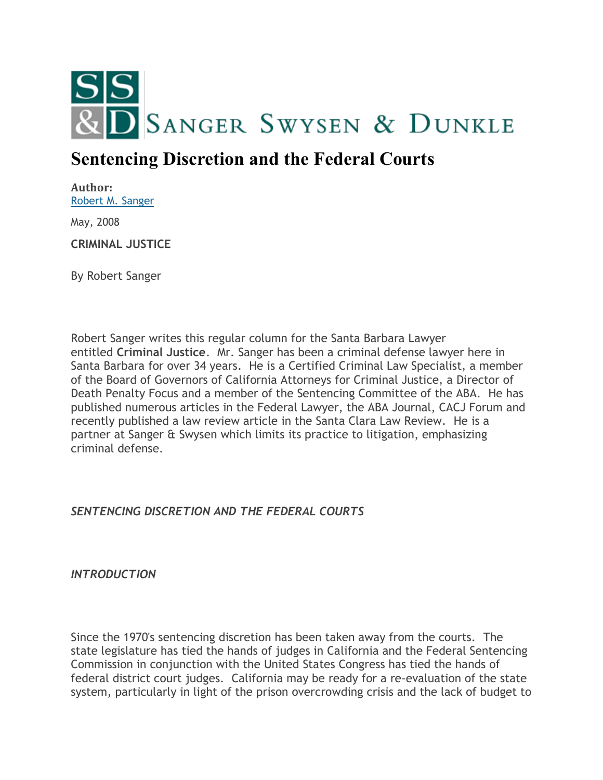

## **Sentencing Discretion and the Federal Courts**

**Author:** [Robert M. Sanger](http://sangerswysen.com/robert-m-sanger)

May, 2008

**CRIMINAL JUSTICE**

By Robert Sanger

Robert Sanger writes this regular column for the Santa Barbara Lawyer entitled **Criminal Justice**. Mr. Sanger has been a criminal defense lawyer here in Santa Barbara for over 34 years. He is a Certified Criminal Law Specialist, a member of the Board of Governors of California Attorneys for Criminal Justice, a Director of Death Penalty Focus and a member of the Sentencing Committee of the ABA. He has published numerous articles in the Federal Lawyer, the ABA Journal, CACJ Forum and recently published a law review article in the Santa Clara Law Review. He is a partner at Sanger & Swysen which limits its practice to litigation, emphasizing criminal defense.

*SENTENCING DISCRETION AND THE FEDERAL COURTS*

*INTRODUCTION*

Since the 1970's sentencing discretion has been taken away from the courts. The state legislature has tied the hands of judges in California and the Federal Sentencing Commission in conjunction with the United States Congress has tied the hands of federal district court judges. California may be ready for a re-evaluation of the state system, particularly in light of the prison overcrowding crisis and the lack of budget to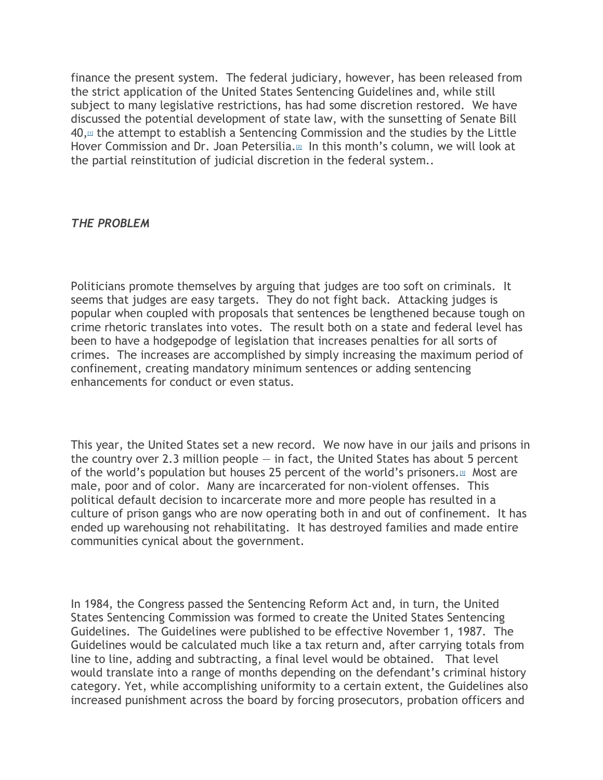finance the present system. The federal judiciary, however, has been released from the strict application of the United States Sentencing Guidelines and, while still subject to many legislative restrictions, has had some discretion restored. We have discussed the potential development of state law, with the sunsetting of Senate Bill  $40,$ <sup> $\mu$ </sup> the attempt to establish a Sentencing Commission and the studies by the Little Hover Commission and Dr[.](#page-5-1) Joan Petersilia.<sup>[2]</sup> In this month's column, we will look at the partial reinstitution of judicial discretion in the federal system..

## *THE PROBLEM*

Politicians promote themselves by arguing that judges are too soft on criminals. It seems that judges are easy targets. They do not fight back. Attacking judges is popular when coupled with proposals that sentences be lengthened because tough on crime rhetoric translates into votes. The result both on a state and federal level has been to have a hodgepodge of legislation that increases penalties for all sorts of crimes. The increases are accomplished by simply increasing the maximum period of confinement, creating mandatory minimum sentences or adding sentencing enhancements for conduct or even status.

This year, the United States set a new record. We now have in our jails and prisons in the country over 2.3 million people  $-$  in fact, the United States has about 5 percent of the world's population but houses 25 percent of the world's prisoners.<sup>[\[3\]](#page-5-2)</sup> Most are male, poor and of color. Many are incarcerated for non-violent offenses. This political default decision to incarcerate more and more people has resulted in a culture of prison gangs who are now operating both in and out of confinement. It has ended up warehousing not rehabilitating. It has destroyed families and made entire communities cynical about the government.

In 1984, the Congress passed the Sentencing Reform Act and, in turn, the United States Sentencing Commission was formed to create the United States Sentencing Guidelines. The Guidelines were published to be effective November 1, 1987. The Guidelines would be calculated much like a tax return and, after carrying totals from line to line, adding and subtracting, a final level would be obtained. That level would translate into a range of months depending on the defendant's criminal history category. Yet, while accomplishing uniformity to a certain extent, the Guidelines also increased punishment across the board by forcing prosecutors, probation officers and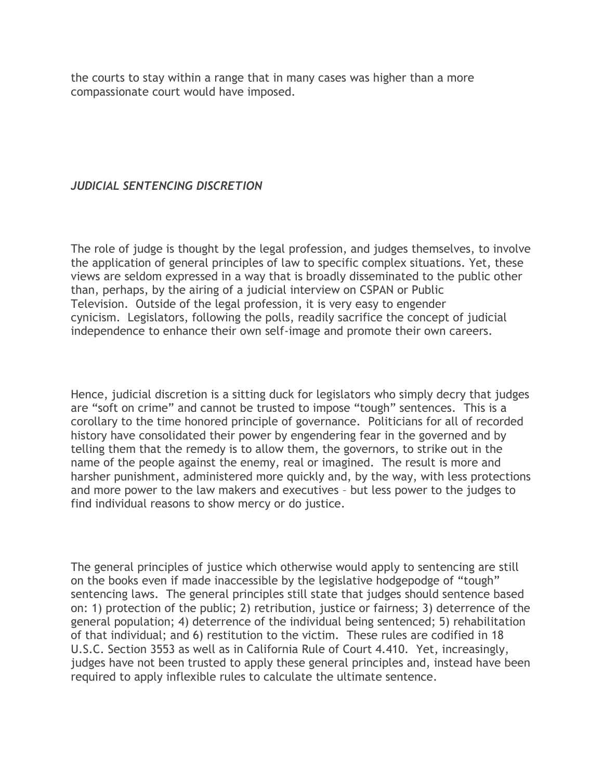the courts to stay within a range that in many cases was higher than a more compassionate court would have imposed.

## *JUDICIAL SENTENCING DISCRETION*

The role of judge is thought by the legal profession, and judges themselves, to involve the application of general principles of law to specific complex situations. Yet, these views are seldom expressed in a way that is broadly disseminated to the public other than, perhaps, by the airing of a judicial interview on CSPAN or Public Television. Outside of the legal profession, it is very easy to engender cynicism. Legislators, following the polls, readily sacrifice the concept of judicial independence to enhance their own self-image and promote their own careers.

Hence, judicial discretion is a sitting duck for legislators who simply decry that judges are "soft on crime" and cannot be trusted to impose "tough" sentences. This is a corollary to the time honored principle of governance. Politicians for all of recorded history have consolidated their power by engendering fear in the governed and by telling them that the remedy is to allow them, the governors, to strike out in the name of the people against the enemy, real or imagined. The result is more and harsher punishment, administered more quickly and, by the way, with less protections and more power to the law makers and executives – but less power to the judges to find individual reasons to show mercy or do justice.

The general principles of justice which otherwise would apply to sentencing are still on the books even if made inaccessible by the legislative hodgepodge of "tough" sentencing laws. The general principles still state that judges should sentence based on: 1) protection of the public; 2) retribution, justice or fairness; 3) deterrence of the general population; 4) deterrence of the individual being sentenced; 5) rehabilitation of that individual; and 6) restitution to the victim. These rules are codified in 18 U.S.C. Section 3553 as well as in California Rule of Court 4.410. Yet, increasingly, judges have not been trusted to apply these general principles and, instead have been required to apply inflexible rules to calculate the ultimate sentence.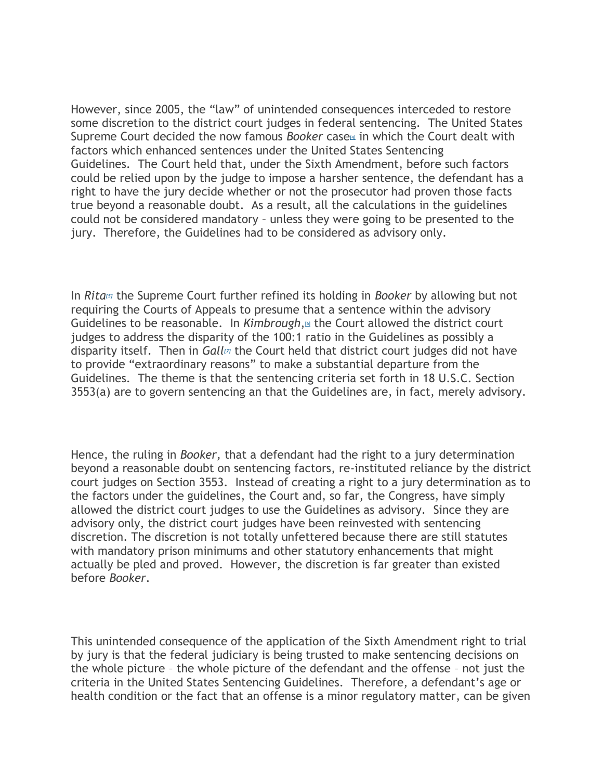However, since 2005, the "law" of unintended consequences interceded to restore some discretion to the district court judges in federal sentencing. The United States Supr[e](#page-5-3)me Court decided the now famous *Booker* case<sup>[4]</sup> in which the Court dealt with factors which enhanced sentences under the United States Sentencing Guidelines. The Court held that, under the Sixth Amendment, before such factors could be relied upon by the judge to impose a harsher sentence, the defendant has a right to have the jury decide whether or not the prosecutor had proven those facts true beyond a reasonable doubt. As a result, all the calculations in the guidelines could not be considered mandatory – unless they were going to be presented to the jury. Therefore, the Guidelines had to be considered as advisory only.

In *Rita[\[5\]](#page-5-4)* the Supreme Court further refined its holding in *Booker* by allowing but not requiring the Courts of Appeals to presume that a sentence within the advisory Guidelines to be reasonable. In *Kimbrough*[,](#page-5-5)<sup>10</sup> the Court allowed the district court judges to address the disparity of the 100:1 ratio in the Guidelines as possibly a disparity itself. Then in *Gall[\[7\]](#page-5-6)* the Court held that district court judges did not have to provide "extraordinary reasons" to make a substantial departure from the Guidelines. The theme is that the sentencing criteria set forth in 18 U.S.C. Section 3553(a) are to govern sentencing an that the Guidelines are, in fact, merely advisory.

Hence, the ruling in *Booker,* that a defendant had the right to a jury determination beyond a reasonable doubt on sentencing factors, re-instituted reliance by the district court judges on Section 3553. Instead of creating a right to a jury determination as to the factors under the guidelines, the Court and, so far, the Congress, have simply allowed the district court judges to use the Guidelines as advisory. Since they are advisory only, the district court judges have been reinvested with sentencing discretion. The discretion is not totally unfettered because there are still statutes with mandatory prison minimums and other statutory enhancements that might actually be pled and proved. However, the discretion is far greater than existed before *Booker*.

This unintended consequence of the application of the Sixth Amendment right to trial by jury is that the federal judiciary is being trusted to make sentencing decisions on the whole picture – the whole picture of the defendant and the offense – not just the criteria in the United States Sentencing Guidelines. Therefore, a defendant's age or health condition or the fact that an offense is a minor regulatory matter, can be given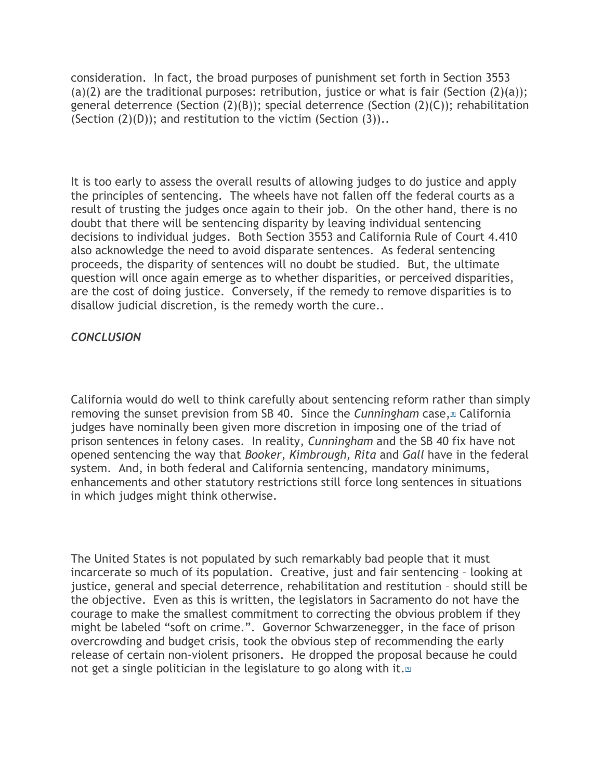consideration. In fact, the broad purposes of punishment set forth in Section 3553 (a)(2) are the traditional purposes: retribution, justice or what is fair (Section  $(2)(a)$ ); general deterrence (Section (2)(B)); special deterrence (Section (2)(C)); rehabilitation (Section  $(2)(D)$ ); and restitution to the victim (Section  $(3)$ )..

It is too early to assess the overall results of allowing judges to do justice and apply the principles of sentencing. The wheels have not fallen off the federal courts as a result of trusting the judges once again to their job. On the other hand, there is no doubt that there will be sentencing disparity by leaving individual sentencing decisions to individual judges. Both Section 3553 and California Rule of Court 4.410 also acknowledge the need to avoid disparate sentences. As federal sentencing proceeds, the disparity of sentences will no doubt be studied. But, the ultimate question will once again emerge as to whether disparities, or perceived disparities, are the cost of doing justice. Conversely, if the remedy to remove disparities is to disallow judicial discretion, is the remedy worth the cure..

## *CONCLUSION*

California would do well to think carefully about sentencing reform rather than simply removing the sunset prevision from SB 40. Since the *Cunningham* case[,](#page-5-7)<sup>88</sup> California judges have nominally been given more discretion in imposing one of the triad of prison sentences in felony cases. In reality, *Cunningham* and the SB 40 fix have not opened sentencing the way that *Booker*, *Kimbrough, Rita* and *Gall* have in the federal system. And, in both federal and California sentencing, mandatory minimums, enhancements and other statutory restrictions still force long sentences in situations in which judges might think otherwise.

The United States is not populated by such remarkably bad people that it must incarcerate so much of its population. Creative, just and fair sentencing – looking at justice, general and special deterrence, rehabilitation and restitution – should still be the objective. Even as this is written, the legislators in Sacramento do not have the courage to make the smallest commitment to correcting the obvious problem if they might be labeled "soft on crime.". Governor Schwarzenegger, in the face of prison overcrowding and budget crisis, took the obvious step of recommending the early release of certain non-violent prisoners. He dropped the proposal because he could not get a single politician in the legislature to go along with it[.](#page-5-8) $\mathbb{P}$